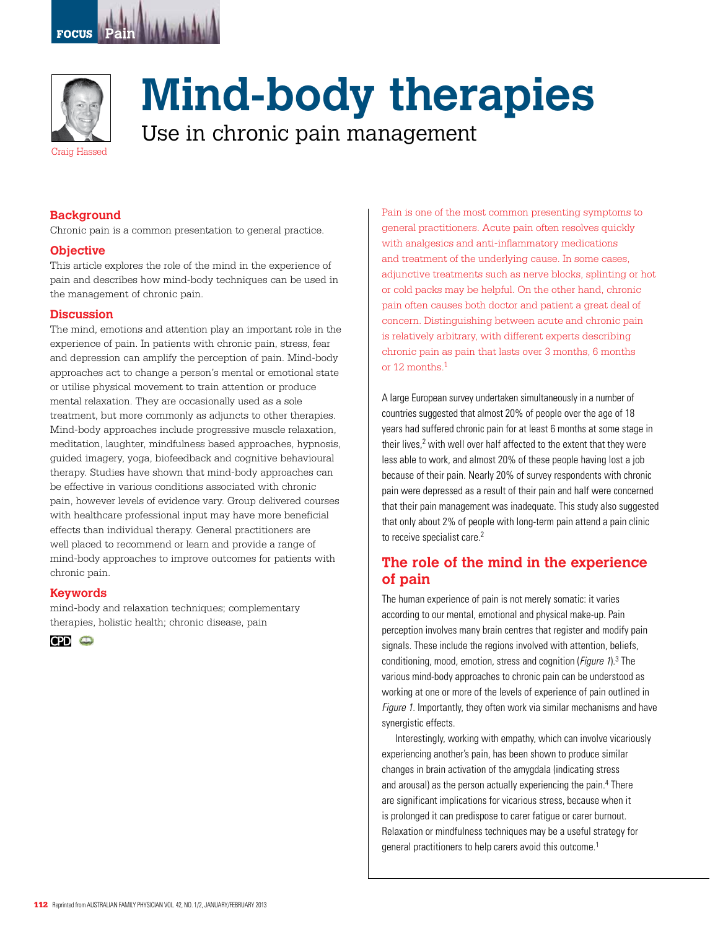



# **Mind-body therapies**

Use in chronic pain management

## **Background**

Chronic pain is a common presentation to general practice.

#### **Objective**

This article explores the role of the mind in the experience of pain and describes how mind-body techniques can be used in the management of chronic pain.

### **Discussion**

The mind, emotions and attention play an important role in the experience of pain. In patients with chronic pain, stress, fear and depression can amplify the perception of pain. Mind-body approaches act to change a person's mental or emotional state or utilise physical movement to train attention or produce mental relaxation. They are occasionally used as a sole treatment, but more commonly as adjuncts to other therapies. Mind-body approaches include progressive muscle relaxation, meditation, laughter, mindfulness based approaches, hypnosis, guided imagery, yoga, biofeedback and cognitive behavioural therapy. Studies have shown that mind-body approaches can be effective in various conditions associated with chronic pain, however levels of evidence vary. Group delivered courses with healthcare professional input may have more beneficial effects than individual therapy. General practitioners are well placed to recommend or learn and provide a range of mind-body approaches to improve outcomes for patients with chronic pain.

#### **Keywords**

mind-body and relaxation techniques; complementary therapies, holistic health; chronic disease, pain



Pain is one of the most common presenting symptoms to general practitioners. Acute pain often resolves quickly with analgesics and anti-inflammatory medications and treatment of the underlying cause. In some cases, adjunctive treatments such as nerve blocks, splinting or hot or cold packs may be helpful. On the other hand, chronic pain often causes both doctor and patient a great deal of concern. Distinguishing between acute and chronic pain is relatively arbitrary, with different experts describing chronic pain as pain that lasts over 3 months, 6 months or 12 months.1

A large European survey undertaken simultaneously in a number of countries suggested that almost 20% of people over the age of 18 years had suffered chronic pain for at least 6 months at some stage in their lives,<sup>2</sup> with well over half affected to the extent that they were less able to work, and almost 20% of these people having lost a job because of their pain. Nearly 20% of survey respondents with chronic pain were depressed as a result of their pain and half were concerned that their pain management was inadequate. This study also suggested that only about 2% of people with long-term pain attend a pain clinic to receive specialist care.<sup>2</sup>

# **The role of the mind in the experience of pain**

The human experience of pain is not merely somatic: it varies according to our mental, emotional and physical make-up. Pain perception involves many brain centres that register and modify pain signals. These include the regions involved with attention, beliefs, conditioning, mood, emotion, stress and cognition (*Figure 1*).<sup>3</sup> The various mind-body approaches to chronic pain can be understood as working at one or more of the levels of experience of pain outlined in Figure 1. Importantly, they often work via similar mechanisms and have synergistic effects.

Interestingly, working with empathy, which can involve vicariously experiencing another's pain, has been shown to produce similar changes in brain activation of the amygdala (indicating stress and arousal) as the person actually experiencing the pain.4 There are significant implications for vicarious stress, because when it is prolonged it can predispose to carer fatigue or carer burnout. Relaxation or mindfulness techniques may be a useful strategy for general practitioners to help carers avoid this outcome.<sup>1</sup>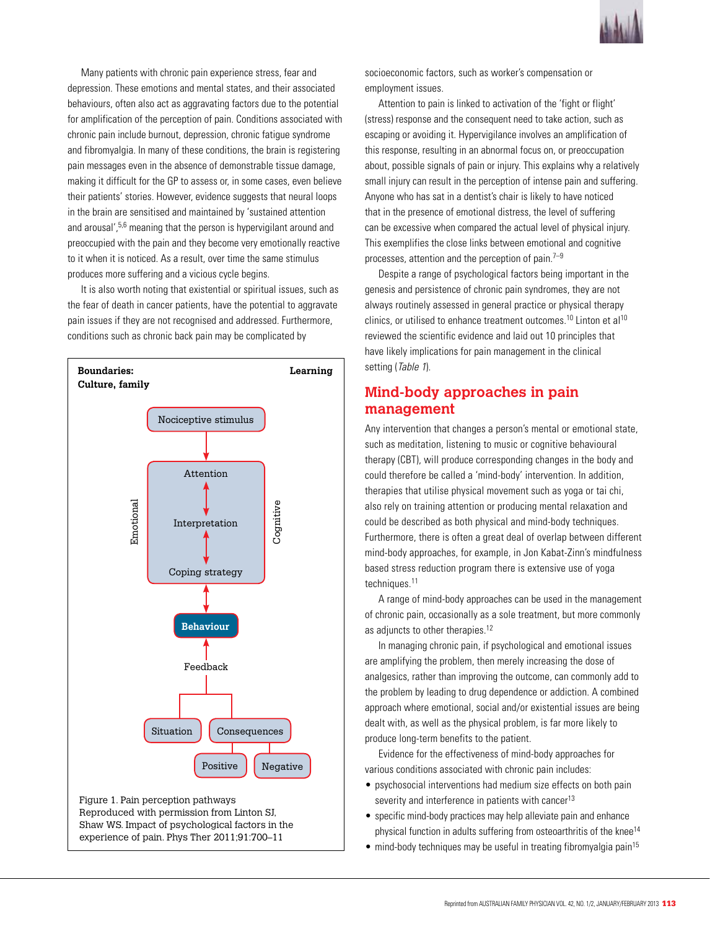

Many patients with chronic pain experience stress, fear and depression. These emotions and mental states, and their associated behaviours, often also act as aggravating factors due to the potential for amplification of the perception of pain. Conditions associated with chronic pain include burnout, depression, chronic fatigue syndrome and fibromyalgia. In many of these conditions, the brain is registering pain messages even in the absence of demonstrable tissue damage, making it difficult for the GP to assess or, in some cases, even believe their patients' stories. However, evidence suggests that neural loops in the brain are sensitised and maintained by 'sustained attention and arousal',<sup>5,6</sup> meaning that the person is hypervigilant around and preoccupied with the pain and they become very emotionally reactive to it when it is noticed. As a result, over time the same stimulus produces more suffering and a vicious cycle begins.

It is also worth noting that existential or spiritual issues, such as the fear of death in cancer patients, have the potential to aggravate pain issues if they are not recognised and addressed. Furthermore, conditions such as chronic back pain may be complicated by



experience of pain. Phys Ther 2011;91:700–11

socioeconomic factors, such as worker's compensation or employment issues.

Attention to pain is linked to activation of the 'fight or flight' (stress) response and the consequent need to take action, such as escaping or avoiding it. Hypervigilance involves an amplification of this response, resulting in an abnormal focus on, or preoccupation about, possible signals of pain or injury. This explains why a relatively small injury can result in the perception of intense pain and suffering. Anyone who has sat in a dentist's chair is likely to have noticed that in the presence of emotional distress, the level of suffering can be excessive when compared the actual level of physical injury. This exemplifies the close links between emotional and cognitive processes, attention and the perception of pain. $7-9$ 

Despite a range of psychological factors being important in the genesis and persistence of chronic pain syndromes, they are not always routinely assessed in general practice or physical therapy clinics, or utilised to enhance treatment outcomes.<sup>10</sup> Linton et al<sup>10</sup> reviewed the scientific evidence and laid out 10 principles that have likely implications for pain management in the clinical setting (Table 1).

# **Mind-body approaches in pain management**

Any intervention that changes a person's mental or emotional state, such as meditation, listening to music or cognitive behavioural therapy (CBT), will produce corresponding changes in the body and could therefore be called a 'mind-body' intervention. In addition, therapies that utilise physical movement such as yoga or tai chi, also rely on training attention or producing mental relaxation and could be described as both physical and mind-body techniques. Furthermore, there is often a great deal of overlap between different mind-body approaches, for example, in Jon Kabat-Zinn's mindfulness based stress reduction program there is extensive use of yoga techniques.<sup>11</sup>

A range of mind-body approaches can be used in the management of chronic pain, occasionally as a sole treatment, but more commonly as adjuncts to other therapies.<sup>12</sup>

In managing chronic pain, if psychological and emotional issues are amplifying the problem, then merely increasing the dose of analgesics, rather than improving the outcome, can commonly add to the problem by leading to drug dependence or addiction. A combined approach where emotional, social and/or existential issues are being dealt with, as well as the physical problem, is far more likely to produce long-term benefits to the patient.

Evidence for the effectiveness of mind-body approaches for various conditions associated with chronic pain includes:

- psychosocial interventions had medium size effects on both pain severity and interference in patients with cancer<sup>13</sup>
- specific mind-body practices may help alleviate pain and enhance physical function in adults suffering from osteoarthritis of the knee<sup>14</sup>
- $\bullet$  mind-body techniques may be useful in treating fibromyalgia pain<sup>15</sup>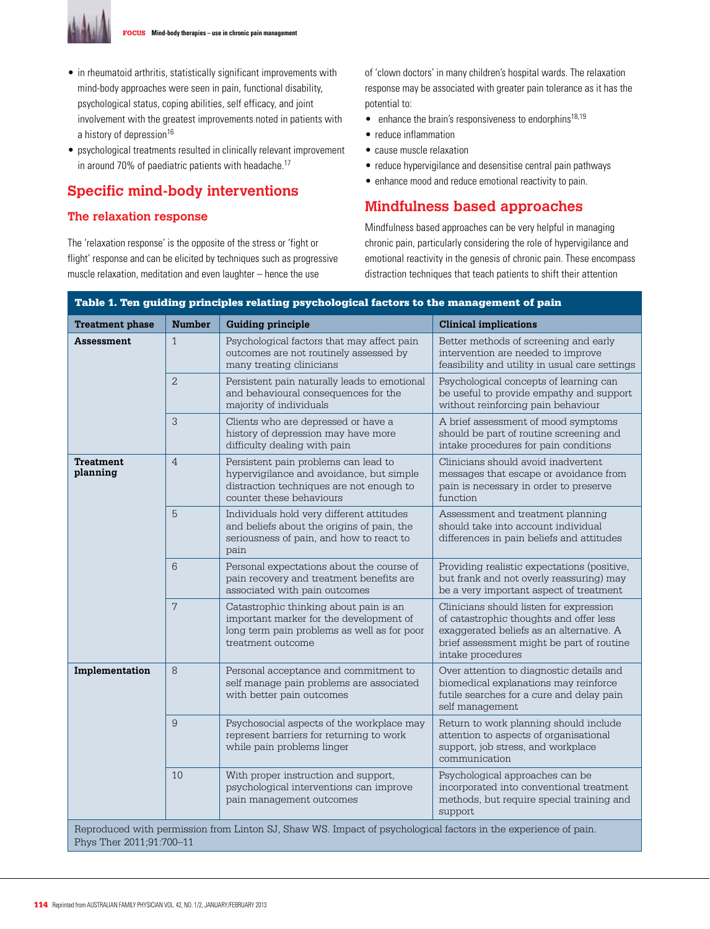

- in rheumatoid arthritis, statistically significant improvements with mind-body approaches were seen in pain, functional disability, psychological status, coping abilities, self efficacy, and joint involvement with the greatest improvements noted in patients with a history of depression<sup>16</sup>
- psychological treatments resulted in clinically relevant improvement in around 70% of paediatric patients with headache.<sup>17</sup>

# **Specific mind-body interventions**

## **The relaxation response**

The 'relaxation response' is the opposite of the stress or 'fight or flight' response and can be elicited by techniques such as progressive muscle relaxation, meditation and even laughter – hence the use

of 'clown doctors' in many children's hospital wards. The relaxation response may be associated with greater pain tolerance as it has the potential to:

- $\bullet$  enhance the brain's responsiveness to endorphins<sup>18,19</sup>
- reduce inflammation
- • cause muscle relaxation
- reduce hypervigilance and desensitise central pain pathways
- enhance mood and reduce emotional reactivity to pain.

# **Mindfulness based approaches**

Mindfulness based approaches can be very helpful in managing chronic pain, particularly considering the role of hypervigilance and emotional reactivity in the genesis of chronic pain. These encompass distraction techniques that teach patients to shift their attention

| Table 1. Ten guiding principles relating psychological factors to the management of pain                       |                |                                                                                                                                                          |                                                                                                                                                                                                  |
|----------------------------------------------------------------------------------------------------------------|----------------|----------------------------------------------------------------------------------------------------------------------------------------------------------|--------------------------------------------------------------------------------------------------------------------------------------------------------------------------------------------------|
| <b>Treatment phase</b>                                                                                         | <b>Number</b>  | <b>Guiding principle</b>                                                                                                                                 | <b>Clinical implications</b>                                                                                                                                                                     |
| Assessment                                                                                                     | $\mathbf{1}$   | Psychological factors that may affect pain<br>outcomes are not routinely assessed by<br>many treating clinicians                                         | Better methods of screening and early<br>intervention are needed to improve<br>feasibility and utility in usual care settings                                                                    |
|                                                                                                                | $\overline{2}$ | Persistent pain naturally leads to emotional<br>and behavioural consequences for the<br>majority of individuals                                          | Psychological concepts of learning can<br>be useful to provide empathy and support<br>without reinforcing pain behaviour                                                                         |
|                                                                                                                | 3              | Clients who are depressed or have a<br>history of depression may have more<br>difficulty dealing with pain                                               | A brief assessment of mood symptoms<br>should be part of routine screening and<br>intake procedures for pain conditions                                                                          |
| <b>Treatment</b><br>planning                                                                                   | $\overline{4}$ | Persistent pain problems can lead to<br>hypervigilance and avoidance, but simple<br>distraction techniques are not enough to<br>counter these behaviours | Clinicians should avoid inadvertent<br>messages that escape or avoidance from<br>pain is necessary in order to preserve<br>function                                                              |
|                                                                                                                | 5              | Individuals hold very different attitudes<br>and beliefs about the origins of pain, the<br>seriousness of pain, and how to react to<br>pain              | Assessment and treatment planning<br>should take into account individual<br>differences in pain beliefs and attitudes                                                                            |
|                                                                                                                | 6              | Personal expectations about the course of<br>pain recovery and treatment benefits are<br>associated with pain outcomes                                   | Providing realistic expectations (positive,<br>but frank and not overly reassuring) may<br>be a very important aspect of treatment                                                               |
|                                                                                                                | 7              | Catastrophic thinking about pain is an<br>important marker for the development of<br>long term pain problems as well as for poor<br>treatment outcome    | Clinicians should listen for expression<br>of catastrophic thoughts and offer less<br>exaggerated beliefs as an alternative. A<br>brief assessment might be part of routine<br>intake procedures |
| Implementation                                                                                                 | 8              | Personal acceptance and commitment to<br>self manage pain problems are associated<br>with better pain outcomes                                           | Over attention to diagnostic details and<br>biomedical explanations may reinforce<br>futile searches for a cure and delay pain<br>self management                                                |
|                                                                                                                | 9              | Psychosocial aspects of the workplace may<br>represent barriers for returning to work<br>while pain problems linger                                      | Return to work planning should include<br>attention to aspects of organisational<br>support, job stress, and workplace<br>communication                                                          |
|                                                                                                                | 10             | With proper instruction and support,<br>psychological interventions can improve<br>pain management outcomes                                              | Psychological approaches can be<br>incorporated into conventional treatment<br>methods, but require special training and<br>support                                                              |
| Reproduced with permission from Linton SJ, Shaw WS. Impact of psychological factors in the experience of pain. |                |                                                                                                                                                          |                                                                                                                                                                                                  |

Phys Ther 2011;91:700-11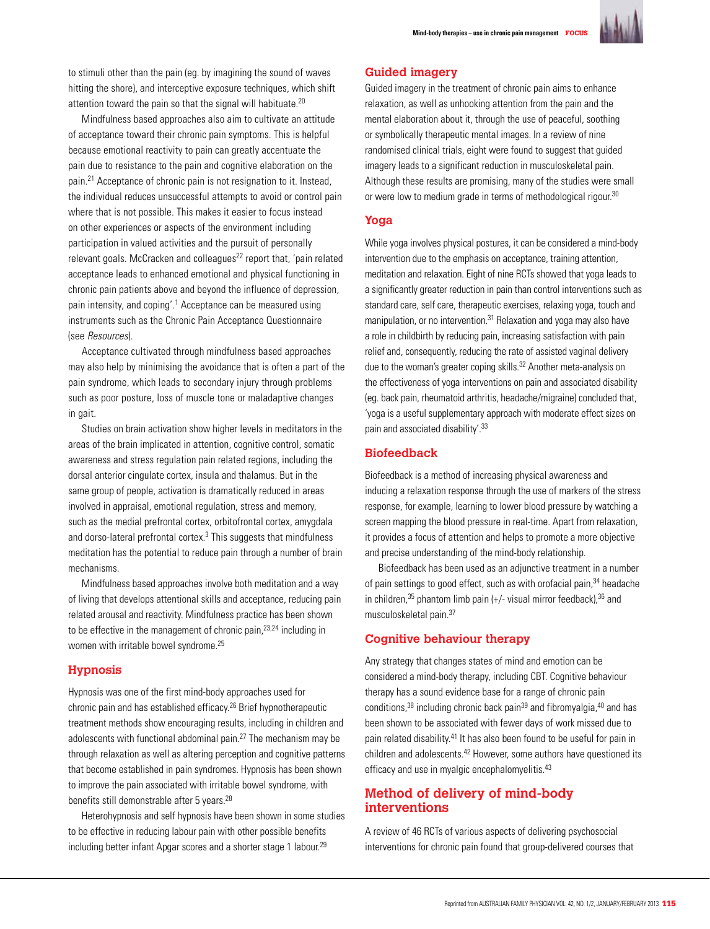

to stimuli other than the pain (eg. by imagining the sound of waves hitting the shore), and interceptive exposure techniques, which shift attention toward the pain so that the signal will habituate.<sup>20</sup>

Mindfulness based approaches also aim to cultivate an attitude of acceptance toward their chronic pain symptoms. This is helpful because emotional reactivity to pain can greatly accentuate the pain due to resistance to the pain and cognitive elaboration on the pain.21 Acceptance of chronic pain is not resignation to it. Instead, the individual reduces unsuccessful attempts to avoid or control pain where that is not possible. This makes it easier to focus instead on other experiences or aspects of the environment including participation in valued activities and the pursuit of personally relevant goals. McCracken and colleagues<sup>22</sup> report that, 'pain related acceptance leads to enhanced emotional and physical functioning in chronic pain patients above and beyond the influence of depression, pain intensity, and coping'.<sup>1</sup> Acceptance can be measured using instruments such as the Chronic Pain Acceptance Questionnaire (see Resources).

Acceptance cultivated through mindfulness based approaches may also help by minimising the avoidance that is often a part of the pain syndrome, which leads to secondary injury through problems such as poor posture, loss of muscle tone or maladaptive changes in gait.

Studies on brain activation show higher levels in meditators in the areas of the brain implicated in attention, cognitive control, somatic awareness and stress regulation pain related regions, including the dorsal anterior cingulate cortex, insula and thalamus. But in the same group of people, activation is dramatically reduced in areas involved in appraisal, emotional regulation, stress and memory, such as the medial prefrontal cortex, orbitofrontal cortex, amygdala and dorso-lateral prefrontal cortex.<sup>3</sup> This suggests that mindfulness meditation has the potential to reduce pain through a number of brain mechanisms.

Mindfulness based approaches involve both meditation and a way of living that develops attentional skills and acceptance, reducing pain related arousal and reactivity. Mindfulness practice has been shown to be effective in the management of chronic pain, $23,24$  including in women with irritable bowel syndrome.25

#### **Hypnosis**

Hypnosis was one of the first mind-body approaches used for chronic pain and has established efficacy.26 Brief hypnotherapeutic treatment methods show encouraging results, including in children and adolescents with functional abdominal pain. $27$  The mechanism may be through relaxation as well as altering perception and cognitive patterns that become established in pain syndromes. Hypnosis has been shown to improve the pain associated with irritable bowel syndrome, with benefits still demonstrable after 5 years.<sup>28</sup>

Heterohypnosis and self hypnosis have been shown in some studies to be effective in reducing labour pain with other possible benefits including better infant Apgar scores and a shorter stage 1 labour.<sup>29</sup>

#### **Guided imagery**

Guided imagery in the treatment of chronic pain aims to enhance relaxation, as well as unhooking attention from the pain and the mental elaboration about it, through the use of peaceful, soothing or symbolically therapeutic mental images. In a review of nine randomised clinical trials, eight were found to suggest that guided imagery leads to a significant reduction in musculoskeletal pain. Although these results are promising, many of the studies were small or were low to medium grade in terms of methodological rigour.<sup>30</sup>

#### **Yoga**

While yoga involves physical postures, it can be considered a mind-body intervention due to the emphasis on acceptance, training attention, meditation and relaxation. Eight of nine RCTs showed that yoga leads to a significantly greater reduction in pain than control interventions such as standard care, self care, therapeutic exercises, relaxing yoga, touch and manipulation, or no intervention.<sup>31</sup> Relaxation and yoga may also have a role in childbirth by reducing pain, increasing satisfaction with pain relief and, consequently, reducing the rate of assisted vaginal delivery due to the woman's greater coping skills.<sup>32</sup> Another meta-analysis on the effectiveness of yoga interventions on pain and associated disability (eg. back pain, rheumatoid arthritis, headache/migraine) concluded that, 'yoga is a useful supplementary approach with moderate effect sizes on pain and associated disability'.33

## **Biofeedback**

Biofeedback is a method of increasing physical awareness and inducing a relaxation response through the use of markers of the stress response, for example, learning to lower blood pressure by watching a screen mapping the blood pressure in real-time. Apart from relaxation, it provides a focus of attention and helps to promote a more objective and precise understanding of the mind-body relationship.

Biofeedback has been used as an adjunctive treatment in a number of pain settings to good effect, such as with orofacial pain, 34 headache in children,  $35$  phantom limb pain (+/- visual mirror feedback),  $36$  and musculoskeletal pain.37

## **Cognitive behaviour therapy**

Any strategy that changes states of mind and emotion can be considered a mind-body therapy, including CBT. Cognitive behaviour therapy has a sound evidence base for a range of chronic pain conditions,  $38$  including chronic back pain  $39$  and fibromyalgia,  $40$  and has been shown to be associated with fewer days of work missed due to pain related disability.41 It has also been found to be useful for pain in children and adolescents.<sup>42</sup> However, some authors have questioned its efficacy and use in myalgic encephalomyelitis.<sup>43</sup>

## **Method of delivery of mind-body interventions**

A review of 46 RCTs of various aspects of delivering psychosocial interventions for chronic pain found that group-delivered courses that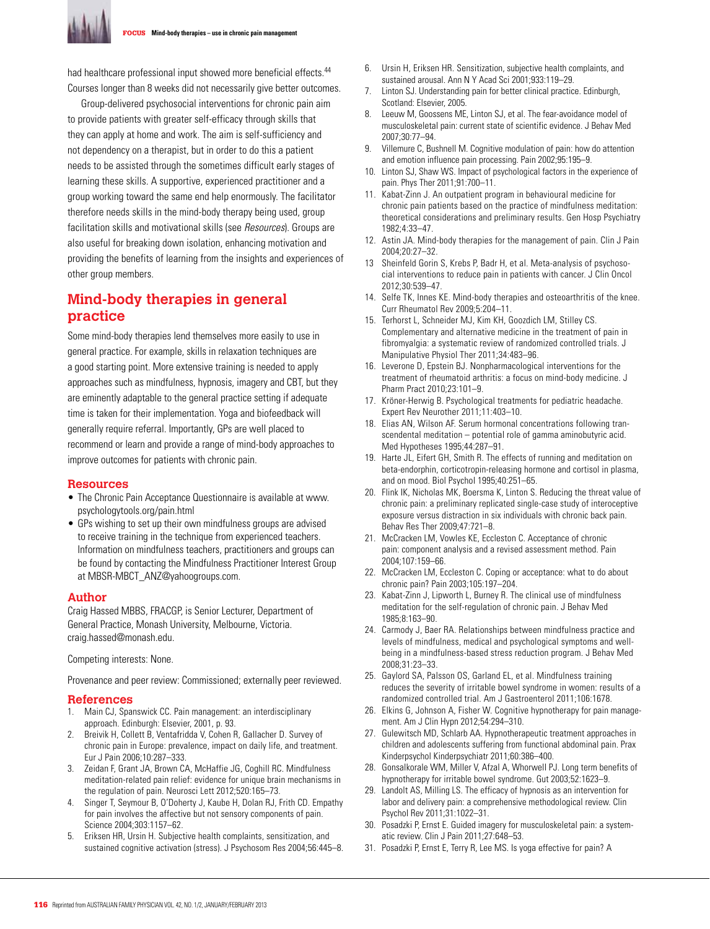

FOCUS **Mind-body therapies – use in chronic pain management**

had healthcare professional input showed more beneficial effects.<sup>44</sup> Courses longer than 8 weeks did not necessarily give better outcomes.

Group-delivered psychosocial interventions for chronic pain aim to provide patients with greater self-efficacy through skills that they can apply at home and work. The aim is self-sufficiency and not dependency on a therapist, but in order to do this a patient needs to be assisted through the sometimes difficult early stages of learning these skills. A supportive, experienced practitioner and a group working toward the same end help enormously. The facilitator therefore needs skills in the mind-body therapy being used, group facilitation skills and motivational skills (see Resources). Groups are also useful for breaking down isolation, enhancing motivation and providing the benefits of learning from the insights and experiences of other group members.

# **Mind-body therapies in general practice**

Some mind-body therapies lend themselves more easily to use in general practice. For example, skills in relaxation techniques are a good starting point. More extensive training is needed to apply approaches such as mindfulness, hypnosis, imagery and CBT, but they are eminently adaptable to the general practice setting if adequate time is taken for their implementation. Yoga and biofeedback will generally require referral. Importantly, GPs are well placed to recommend or learn and provide a range of mind-body approaches to improve outcomes for patients with chronic pain.

#### **Resources**

- The Chronic Pain Acceptance Questionnaire is available at www. psychologytools.org/pain.html
- GPs wishing to set up their own mindfulness groups are advised to receive training in the technique from experienced teachers. Information on mindfulness teachers, practitioners and groups can be found by contacting the Mindfulness Practitioner Interest Group at MBSR-MBCT\_ANZ@yahoogroups.com.

#### **Author**

Craig Hassed MBBS, FRACGP, is Senior Lecturer, Department of General Practice, Monash University, Melbourne, Victoria. craig.hassed@monash.edu.

Competing interests: None.

Provenance and peer review: Commissioned; externally peer reviewed.

#### **References**

- 1. Main CJ, Spanswick CC. Pain management: an interdisciplinary approach. Edinburgh: Elsevier, 2001, p. 93.
- 2. Breivik H, Collett B, Ventafridda V, Cohen R, Gallacher D. Survey of chronic pain in Europe: prevalence, impact on daily life, and treatment. Eur J Pain 2006;10:287–333.
- 3. Zeidan F, Grant JA, Brown CA, McHaffie JG, Coghill RC. Mindfulness meditation-related pain relief: evidence for unique brain mechanisms in the regulation of pain. Neurosci Lett 2012;520:165–73.
- 4. Singer T, Seymour B, O'Doherty J, Kaube H, Dolan RJ, Frith CD. Empathy for pain involves the affective but not sensory components of pain. Science 2004;303:1157–62.
- 5. Eriksen HR, Ursin H. Subjective health complaints, sensitization, and sustained cognitive activation (stress). J Psychosom Res 2004;56:445–8.
- 6. Ursin H, Eriksen HR. Sensitization, subjective health complaints, and sustained arousal. Ann N Y Acad Sci 2001;933:119–29.
- 7. Linton SJ. Understanding pain for better clinical practice. Edinburgh, Scotland: Elsevier, 2005.
- 8. Leeuw M, Goossens ME, Linton SJ, et al. The fear-avoidance model of musculoskeletal pain: current state of scientific evidence. J Behav Med 2007;30:77–94.
- 9. Villemure C, Bushnell M. Cognitive modulation of pain: how do attention and emotion influence pain processing. Pain 2002;95:195–9.
- 10. Linton SJ, Shaw WS. Impact of psychological factors in the experience of pain. Phys Ther 2011;91:700–11.
- 11. Kabat-Zinn J. An outpatient program in behavioural medicine for chronic pain patients based on the practice of mindfulness meditation: theoretical considerations and preliminary results. Gen Hosp Psychiatry 1982;4:33–47.
- 12. Astin JA. Mind-body therapies for the management of pain. Clin J Pain 2004;20:27–32.
- 13 Sheinfeld Gorin S, Krebs P, Badr H, et al. Meta-analysis of psychosocial interventions to reduce pain in patients with cancer. J Clin Oncol 2012;30:539–47.
- 14. Selfe TK, Innes KE. Mind-body therapies and osteoarthritis of the knee. Curr Rheumatol Rev 2009;5:204–11.
- 15. Terhorst L, Schneider MJ, Kim KH, Goozdich LM, Stilley CS. Complementary and alternative medicine in the treatment of pain in fibromyalgia: a systematic review of randomized controlled trials. J Manipulative Physiol Ther 2011;34:483–96.
- 16. Leverone D, Epstein BJ. Nonpharmacological interventions for the treatment of rheumatoid arthritis: a focus on mind-body medicine. J Pharm Pract 2010;23:101–9.
- 17. Kröner-Herwig B. Psychological treatments for pediatric headache. Expert Rev Neurother 2011;11:403–10.
- 18. Elias AN, Wilson AF. Serum hormonal concentrations following transcendental meditation – potential role of gamma aminobutyric acid. Med Hypotheses 1995;44:287–91.
- 19. Harte JL, Eifert GH, Smith R. The effects of running and meditation on beta-endorphin, corticotropin-releasing hormone and cortisol in plasma, and on mood. Biol Psychol 1995;40:251–65.
- 20. Flink IK, Nicholas MK, Boersma K, Linton S. Reducing the threat value of chronic pain: a preliminary replicated single-case study of interoceptive exposure versus distraction in six individuals with chronic back pain. Behav Res Ther 2009;47:721–8.
- 21. McCracken LM, Vowles KE, Eccleston C. Acceptance of chronic pain: component analysis and a revised assessment method. Pain 2004;107:159–66.
- 22. McCracken LM, Eccleston C. Coping or acceptance: what to do about chronic pain? Pain 2003;105:197–204.
- 23. Kabat-Zinn J, Lipworth L, Burney R. The clinical use of mindfulness meditation for the self-regulation of chronic pain. J Behav Med 1985;8:163–90.
- 24. Carmody J, Baer RA. Relationships between mindfulness practice and levels of mindfulness, medical and psychological symptoms and wellbeing in a mindfulness-based stress reduction program. J Behav Med 2008;31:23–33.
- 25. Gaylord SA, Palsson OS, Garland EL, et al. Mindfulness training reduces the severity of irritable bowel syndrome in women: results of a randomized controlled trial. Am J Gastroenterol 2011;106:1678.
- 26. Elkins G, Johnson A, Fisher W. Cognitive hypnotherapy for pain management. Am J Clin Hypn 2012;54:294–310.
- 27. Gulewitsch MD, Schlarb AA. Hypnotherapeutic treatment approaches in children and adolescents suffering from functional abdominal pain. Prax Kinderpsychol Kinderpsychiatr 2011;60:386–400.
- 28. Gonsalkorale WM, Miller V, Afzal A, Whorwell PJ. Long term benefits of hypnotherapy for irritable bowel syndrome. Gut 2003;52:1623–9.
- 29. Landolt AS, Milling LS. The efficacy of hypnosis as an intervention for labor and delivery pain: a comprehensive methodological review. Clin Psychol Rev 2011;31:1022–31.
- 30. Posadzki P, Ernst E. Guided imagery for musculoskeletal pain: a systematic review. Clin J Pain 2011;27:648–53.
- 31. Posadzki P, Ernst E, Terry R, Lee MS. Is yoga effective for pain? A